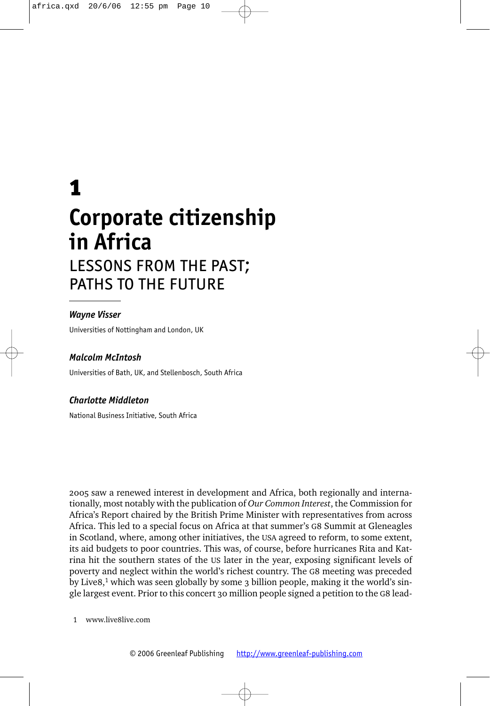# **1 Corporate citizenship in Africa** lessons from the past; paths to the future

### *Wayne Visser*

Universities of Nottingham and London, UK

## *Malcolm McIntosh*

Universities of Bath, UK, and Stellenbosch, South Africa

# *Charlotte Middleton*

National Business Initiative, South Africa

2005 saw a renewed interest in development and Africa, both regionally and internationally, most notably with the publication of *Our Common Interest*, the Commission for Africa's Report chaired by the British Prime Minister with representatives from across Africa. This led to a special focus on Africa at that summer's G8 Summit at Gleneagles in Scotland, where, among other initiatives, the USA agreed to reform, to some extent, its aid budgets to poor countries. This was, of course, before hurricanes Rita and Katrina hit the southern states of the US later in the year, exposing significant levels of poverty and neglect within the world's richest country. The G8 meeting was preceded by Live8,<sup>1</sup> which was seen globally by some 3 billion people, making it the world's single largest event. Prior to this concert 30 million people signed a petition to the G8 lead-

1 www.live8live.com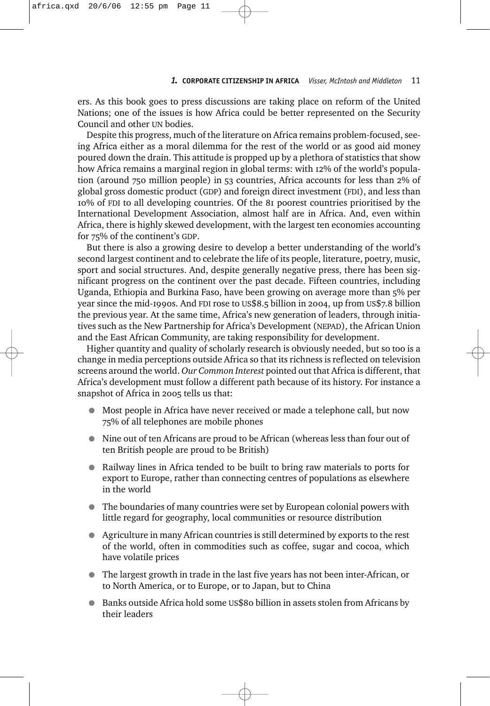ers. As this book goes to press discussions are taking place on reform of the United Nations; one of the issues is how Africa could be better represented on the Security Council and other UN bodies.

Despite this progress, much of the literature on Africa remains problem-focused, seeing Africa either as a moral dilemma for the rest of the world or as good aid money poured down the drain. This attitude is propped up by a plethora of statistics that show how Africa remains a marginal region in global terms: with 12% of the world's population (around 750 million people) in 53 countries, Africa accounts for less than 2% of global gross domestic product (GDP) and foreign direct investment (FDI), and less than 10% of FDI to all developing countries. Of the 81 poorest countries prioritised by the International Development Association, almost half are in Africa. And, even within Africa, there is highly skewed development, with the largest ten economies accounting for 75% of the continent's GDP.

But there is also a growing desire to develop a better understanding of the world's second largest continent and to celebrate the life of its people, literature, poetry, music, sport and social structures. And, despite generally negative press, there has been significant progress on the continent over the past decade. Fifteen countries, including Uganda, Ethiopia and Burkina Faso, have been growing on average more than 5% per year since the mid-1990s. And FDI rose to US\$8.5 billion in 2004, up from US\$7.8 billion the previous year. At the same time, Africa's new generation of leaders, through initiatives such as the New Partnership for Africa's Development (NEPAD), the African Union and the East African Community, are taking responsibility for development.

Higher quantity and quality of scholarly research is obviously needed, but so too is a change in media perceptions outside Africa so that its richness is reflected on television screens around the world. *Our Common Interest* pointed out that Africa is different, that Africa's development must follow a different path because of its history. For instance a snapshot of Africa in 2005 tells us that:

- Most people in Africa have never received or made a telephone call, but now 75% of all telephones are mobile phones
- Nine out of ten Africans are proud to be African (whereas less than four out of ten British people are proud to be British)
- Railway lines in Africa tended to be built to bring raw materials to ports for export to Europe, rather than connecting centres of populations as elsewhere in the world
- The boundaries of many countries were set by European colonial powers with little regard for geography, local communities or resource distribution
- Agriculture in many African countries is still determined by exports to the rest of the world, often in commodities such as coffee, sugar and cocoa, which have volatile prices
- The largest growth in trade in the last five years has not been inter-African, or to North America, or to Europe, or to Japan, but to China
- Banks outside Africa hold some US\$80 billion in assets stolen from Africans by their leaders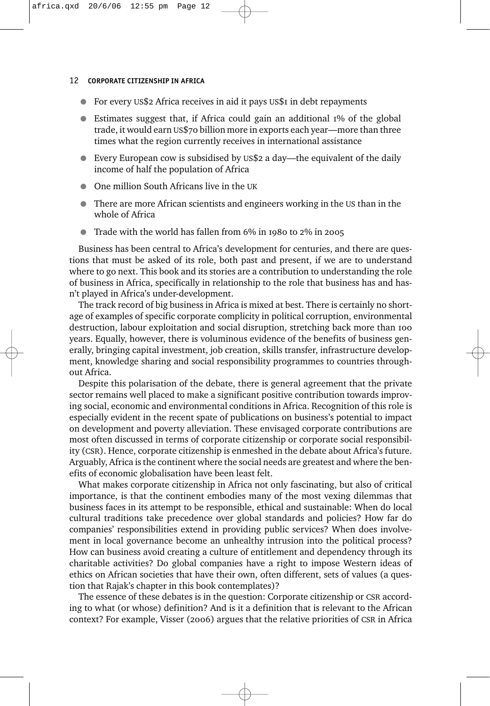#### 12 corporate citizenship in africa

- For every US\$2 Africa receives in aid it pays US\$1 in debt repayments
- Estimates suggest that, if Africa could gain an additional 1% of the global trade, it would earn US\$70 billion more in exports each year—more than three times what the region currently receives in international assistance
- Every European cow is subsidised by US\$2 a day—the equivalent of the daily income of half the population of Africa
- One million South Africans live in the UK
- There are more African scientists and engineers working in the US than in the whole of Africa
- Trade with the world has fallen from 6% in 1980 to 2% in 2005

Business has been central to Africa's development for centuries, and there are questions that must be asked of its role, both past and present, if we are to understand where to go next. This book and its stories are a contribution to understanding the role of business in Africa, specifically in relationship to the role that business has and hasn't played in Africa's under-development.

The track record of big business in Africa is mixed at best. There is certainly no shortage of examples of specific corporate complicity in political corruption, environmental destruction, labour exploitation and social disruption, stretching back more than 100 years. Equally, however, there is voluminous evidence of the benefits of business generally, bringing capital investment, job creation, skills transfer, infrastructure development, knowledge sharing and social responsibility programmes to countries throughout Africa.

Despite this polarisation of the debate, there is general agreement that the private sector remains well placed to make a significant positive contribution towards improving social, economic and environmental conditions in Africa. Recognition of this role is especially evident in the recent spate of publications on business's potential to impact on development and poverty alleviation. These envisaged corporate contributions are most often discussed in terms of corporate citizenship or corporate social responsibility (CSR). Hence, corporate citizenship is enmeshed in the debate about Africa's future. Arguably, Africa is the continent where the social needs are greatest and where the benefits of economic globalisation have been least felt.

What makes corporate citizenship in Africa not only fascinating, but also of critical importance, is that the continent embodies many of the most vexing dilemmas that business faces in its attempt to be responsible, ethical and sustainable: When do local cultural traditions take precedence over global standards and policies? How far do companies' responsibilities extend in providing public services? When does involvement in local governance become an unhealthy intrusion into the political process? How can business avoid creating a culture of entitlement and dependency through its charitable activities? Do global companies have a right to impose Western ideas of ethics on African societies that have their own, often different, sets of values (a question that Rajak's chapter in this book contemplates)?

The essence of these debates is in the question: Corporate citizenship or CSR according to what (or whose) definition? And is it a definition that is relevant to the African context? For example, Visser (2006) argues that the relative priorities of CSR in Africa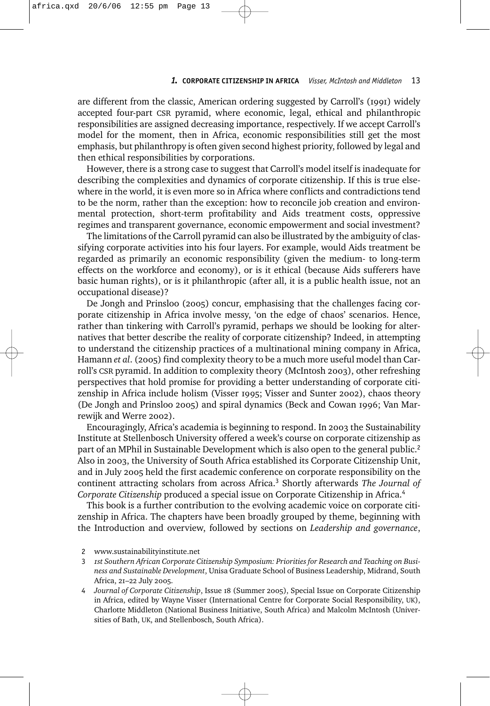are different from the classic, American ordering suggested by Carroll's (1991) widely accepted four-part CSR pyramid, where economic, legal, ethical and philanthropic responsibilities are assigned decreasing importance, respectively. If we accept Carroll's model for the moment, then in Africa, economic responsibilities still get the most emphasis, but philanthropy is often given second highest priority, followed by legal and then ethical responsibilities by corporations.

However, there is a strong case to suggest that Carroll's model itself is inadequate for describing the complexities and dynamics of corporate citizenship. If this is true elsewhere in the world, it is even more so in Africa where conflicts and contradictions tend to be the norm, rather than the exception: how to reconcile job creation and environmental protection, short-term profitability and Aids treatment costs, oppressive regimes and transparent governance, economic empowerment and social investment?

The limitations of the Carroll pyramid can also be illustrated by the ambiguity of classifying corporate activities into his four layers. For example, would Aids treatment be regarded as primarily an economic responsibility (given the medium- to long-term effects on the workforce and economy), or is it ethical (because Aids sufferers have basic human rights), or is it philanthropic (after all, it is a public health issue, not an occupational disease)?

De Jongh and Prinsloo (2005) concur, emphasising that the challenges facing corporate citizenship in Africa involve messy, 'on the edge of chaos' scenarios. Hence, rather than tinkering with Carroll's pyramid, perhaps we should be looking for alternatives that better describe the reality of corporate citizenship? Indeed, in attempting to understand the citizenship practices of a multinational mining company in Africa, Hamann *et al*. (2005) find complexity theory to be a much more useful model than Carroll's CSR pyramid. In addition to complexity theory (McIntosh 2003), other refreshing perspectives that hold promise for providing a better understanding of corporate citizenship in Africa include holism (Visser 1995; Visser and Sunter 2002), chaos theory (De Jongh and Prinsloo 2005) and spiral dynamics (Beck and Cowan 1996; Van Marrewijk and Werre 2002).

Encouragingly, Africa's academia is beginning to respond. In 2003 the Sustainability Institute at Stellenbosch University offered a week's course on corporate citizenship as part of an MPhil in Sustainable Development which is also open to the general public.<sup>2</sup> Also in 2003, the University of South Africa established its Corporate Citizenship Unit, and in July 2005 held the first academic conference on corporate responsibility on the continent attracting scholars from across Africa.<sup>3</sup> Shortly afterwards *The Journal of Corporate Citizenship* produced a special issue on Corporate Citizenship in Africa.<sup>4</sup>

This book is a further contribution to the evolving academic voice on corporate citizenship in Africa. The chapters have been broadly grouped by theme, beginning with the Introduction and overview, followed by sections on *Leadership and governance*,

- 2 www.sustainabilityinstitute.net
- 3 *1st Southern African Corporate Citizenship Symposium: Priorities for Research and Teaching on Business and Sustainable Development*, Unisa Graduate School of Business Leadership, Midrand, South Africa, 21–22 July 2005.
- 4 *Journal of Corporate Citizenship*, Issue 18 (Summer 2005), Special Issue on Corporate Citizenship in Africa, edited by Wayne Visser (International Centre for Corporate Social Responsibility, UK), Charlotte Middleton (National Business Initiative, South Africa) and Malcolm McIntosh (Universities of Bath, UK, and Stellenbosch, South Africa).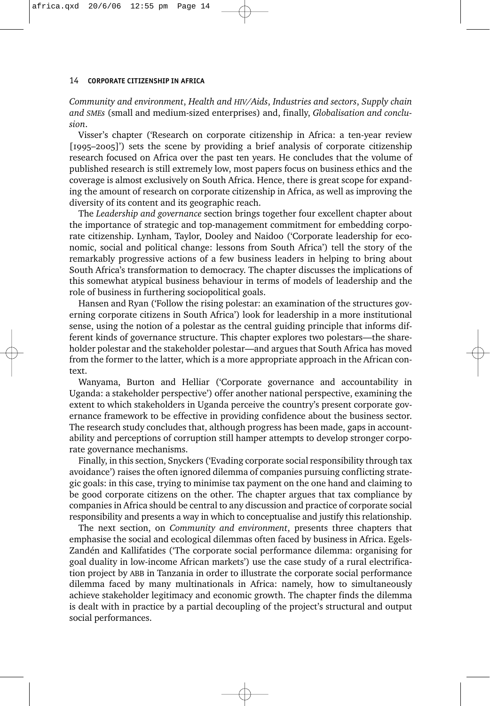#### 14 corporate citizenship in africa

*Community and environment*, *Health and HIV/Aids*, *Industries and sectors*, *Supply chain and SMEs* (small and medium-sized enterprises) and, finally, *Globalisation and conclusion*.

Visser's chapter ('Research on corporate citizenship in Africa: a ten-year review [1995–2005]') sets the scene by providing a brief analysis of corporate citizenship research focused on Africa over the past ten years. He concludes that the volume of published research is still extremely low, most papers focus on business ethics and the coverage is almost exclusively on South Africa. Hence, there is great scope for expanding the amount of research on corporate citizenship in Africa, as well as improving the diversity of its content and its geographic reach.

The *Leadership and governance* section brings together four excellent chapter about the importance of strategic and top-management commitment for embedding corporate citizenship. Lynham, Taylor, Dooley and Naidoo ('Corporate leadership for economic, social and political change: lessons from South Africa') tell the story of the remarkably progressive actions of a few business leaders in helping to bring about South Africa's transformation to democracy. The chapter discusses the implications of this somewhat atypical business behaviour in terms of models of leadership and the role of business in furthering sociopolitical goals.

Hansen and Ryan ('Follow the rising polestar: an examination of the structures governing corporate citizens in South Africa') look for leadership in a more institutional sense, using the notion of a polestar as the central guiding principle that informs different kinds of governance structure. This chapter explores two polestars—the shareholder polestar and the stakeholder polestar—and argues that South Africa has moved from the former to the latter, which is a more appropriate approach in the African context.

Wanyama, Burton and Helliar ('Corporate governance and accountability in Uganda: a stakeholder perspective') offer another national perspective, examining the extent to which stakeholders in Uganda perceive the country's present corporate governance framework to be effective in providing confidence about the business sector. The research study concludes that, although progress has been made, gaps in accountability and perceptions of corruption still hamper attempts to develop stronger corporate governance mechanisms.

Finally, in this section, Snyckers ('Evading corporate social responsibility through tax avoidance') raises the often ignored dilemma of companies pursuing conflicting strategic goals: in this case, trying to minimise tax payment on the one hand and claiming to be good corporate citizens on the other. The chapter argues that tax compliance by companies in Africa should be central to any discussion and practice of corporate social responsibility and presents a way in which to conceptualise and justify this relationship.

The next section, on *Community and environment*, presents three chapters that emphasise the social and ecological dilemmas often faced by business in Africa. Egels-Zandén and Kallifatides ('The corporate social performance dilemma: organising for goal duality in low-income African markets') use the case study of a rural electrification project by ABB in Tanzania in order to illustrate the corporate social performance dilemma faced by many multinationals in Africa: namely, how to simultaneously achieve stakeholder legitimacy and economic growth. The chapter finds the dilemma is dealt with in practice by a partial decoupling of the project's structural and output social performances.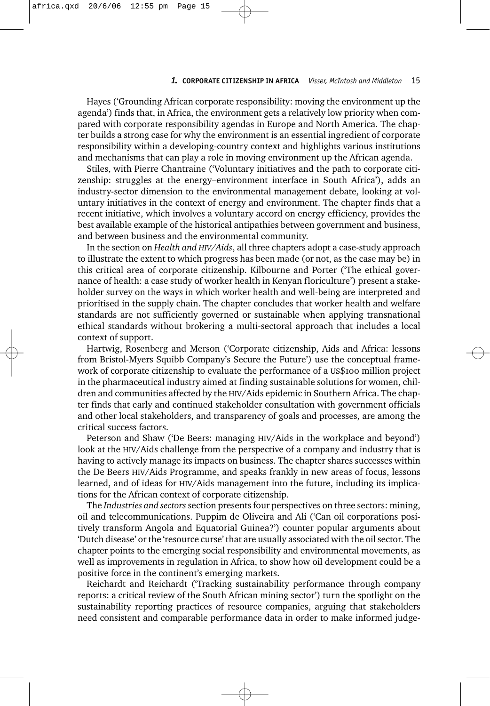Hayes ('Grounding African corporate responsibility: moving the environment up the agenda') finds that, in Africa, the environment gets a relatively low priority when compared with corporate responsibility agendas in Europe and North America. The chapter builds a strong case for why the environment is an essential ingredient of corporate responsibility within a developing-country context and highlights various institutions and mechanisms that can play a role in moving environment up the African agenda.

Stiles, with Pierre Chantraine ('Voluntary initiatives and the path to corporate citizenship: struggles at the energy–environment interface in South Africa'), adds an industry-sector dimension to the environmental management debate, looking at voluntary initiatives in the context of energy and environment. The chapter finds that a recent initiative, which involves a voluntary accord on energy efficiency, provides the best available example of the historical antipathies between government and business, and between business and the environmental community.

In the section on *Health and HIV/Aids*, all three chapters adopt a case-study approach to illustrate the extent to which progress has been made (or not, as the case may be) in this critical area of corporate citizenship. Kilbourne and Porter ('The ethical governance of health: a case study of worker health in Kenyan floriculture') present a stakeholder survey on the ways in which worker health and well-being are interpreted and prioritised in the supply chain. The chapter concludes that worker health and welfare standards are not sufficiently governed or sustainable when applying transnational ethical standards without brokering a multi-sectoral approach that includes a local context of support.

Hartwig, Rosenberg and Merson ('Corporate citizenship, Aids and Africa: lessons from Bristol-Myers Squibb Company's Secure the Future') use the conceptual framework of corporate citizenship to evaluate the performance of a US\$100 million project in the pharmaceutical industry aimed at finding sustainable solutions for women, children and communities affected by the HIV/Aids epidemic in Southern Africa. The chapter finds that early and continued stakeholder consultation with government officials and other local stakeholders, and transparency of goals and processes, are among the critical success factors.

Peterson and Shaw ('De Beers: managing HIV/Aids in the workplace and beyond') look at the HIV/Aids challenge from the perspective of a company and industry that is having to actively manage its impacts on business. The chapter shares successes within the De Beers HIV/Aids Programme, and speaks frankly in new areas of focus, lessons learned, and of ideas for HIV/Aids management into the future, including its implications for the African context of corporate citizenship.

The *Industries and sectors* section presents four perspectives on three sectors: mining, oil and telecommunications. Puppim de Oliveira and Ali ('Can oil corporations positively transform Angola and Equatorial Guinea?') counter popular arguments about 'Dutch disease' or the 'resource curse' that are usually associated with the oil sector. The chapter points to the emerging social responsibility and environmental movements, as well as improvements in regulation in Africa, to show how oil development could be a positive force in the continent's emerging markets.

Reichardt and Reichardt ('Tracking sustainability performance through company reports: a critical review of the South African mining sector') turn the spotlight on the sustainability reporting practices of resource companies, arguing that stakeholders need consistent and comparable performance data in order to make informed judge-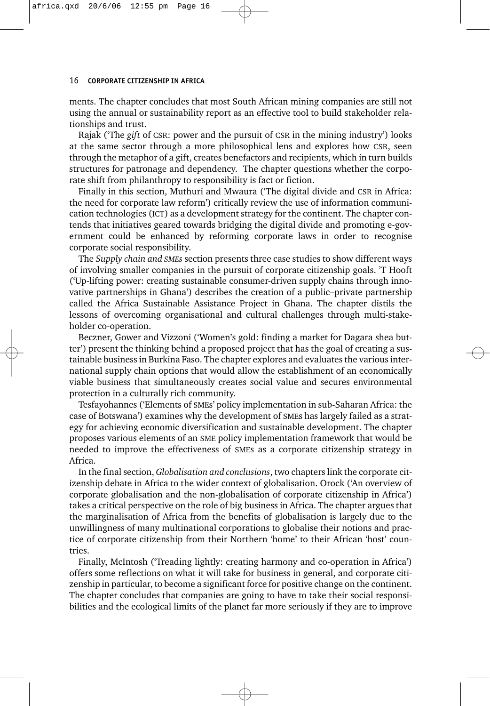#### 16 corporate citizenship in africa

ments. The chapter concludes that most South African mining companies are still not using the annual or sustainability report as an effective tool to build stakeholder relationships and trust.

Rajak ('The *gift* of CSR: power and the pursuit of CSR in the mining industry') looks at the same sector through a more philosophical lens and explores how CSR, seen through the metaphor of a gift, creates benefactors and recipients, which in turn builds structures for patronage and dependency. The chapter questions whether the corporate shift from philanthropy to responsibility is fact or fiction.

Finally in this section, Muthuri and Mwaura ('The digital divide and CSR in Africa: the need for corporate law reform') critically review the use of information communication technologies (ICT) as a development strategy for the continent. The chapter contends that initiatives geared towards bridging the digital divide and promoting e-government could be enhanced by reforming corporate laws in order to recognise corporate social responsibility.

The *Supply chain and SMEs* section presents three case studies to show different ways of involving smaller companies in the pursuit of corporate citizenship goals. 'T Hooft ('Up-lifting power: creating sustainable consumer-driven supply chains through innovative partnerships in Ghana') describes the creation of a public–private partnership called the Africa Sustainable Assistance Project in Ghana. The chapter distils the lessons of overcoming organisational and cultural challenges through multi-stakeholder co-operation.

Beczner, Gower and Vizzoni ('Women's gold: finding a market for Dagara shea butter') present the thinking behind a proposed project that has the goal of creating a sustainable business in Burkina Faso. The chapter explores and evaluates the various international supply chain options that would allow the establishment of an economically viable business that simultaneously creates social value and secures environmental protection in a culturally rich community.

Tesfayohannes ('Elements of SMEs' policy implementation in sub-Saharan Africa: the case of Botswana') examines why the development of SMEs has largely failed as a strategy for achieving economic diversification and sustainable development. The chapter proposes various elements of an SME policy implementation framework that would be needed to improve the effectiveness of SMEs as a corporate citizenship strategy in Africa.

In the final section, *Globalisation and conclusions*, two chapters link the corporate citizenship debate in Africa to the wider context of globalisation. Orock ('An overview of corporate globalisation and the non-globalisation of corporate citizenship in Africa') takes a critical perspective on the role of big business in Africa. The chapter argues that the marginalisation of Africa from the benefits of globalisation is largely due to the unwillingness of many multinational corporations to globalise their notions and practice of corporate citizenship from their Northern 'home' to their African 'host' countries.

Finally, McIntosh ('Treading lightly: creating harmony and co-operation in Africa') offers some reflections on what it will take for business in general, and corporate citizenship in particular, to become a significant force for positive change on the continent. The chapter concludes that companies are going to have to take their social responsibilities and the ecological limits of the planet far more seriously if they are to improve